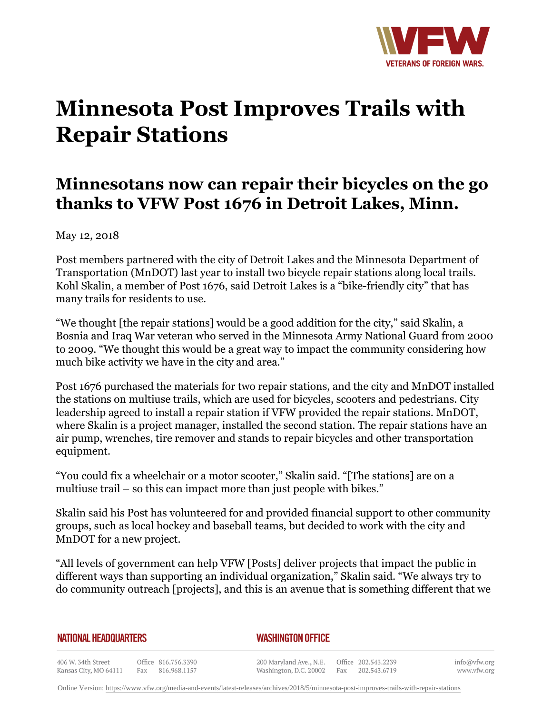

## **Minnesota Post Improves Trails with Repair Stations**

## **Minnesotans now can repair their bicycles on the go thanks to VFW Post 1676 in Detroit Lakes, Minn.**

May 12, 2018

Post members partnered with the city of Detroit Lakes and the Minnesota Department of Transportation (MnDOT) last year to install two bicycle repair stations along local trails. Kohl Skalin, a member of Post 1676, said Detroit Lakes is a "bike-friendly city" that has many trails for residents to use.

"We thought [the repair stations] would be a good addition for the city," said Skalin, a Bosnia and Iraq War veteran who served in the Minnesota Army National Guard from 2000 to 2009. "We thought this would be a great way to impact the community considering how much bike activity we have in the city and area."

Post 1676 purchased the materials for two repair stations, and the city and MnDOT installed the stations on multiuse trails, which are used for bicycles, scooters and pedestrians. City leadership agreed to install a repair station if VFW provided the repair stations. MnDOT, where Skalin is a project manager, installed the second station. The repair stations have an air pump, wrenches, tire remover and stands to repair bicycles and other transportation equipment.

"You could fix a wheelchair or a motor scooter," Skalin said. "[The stations] are on a multiuse trail – so this can impact more than just people with bikes."

Skalin said his Post has volunteered for and provided financial support to other community groups, such as local hockey and baseball teams, but decided to work with the city and MnDOT for a new project.

"All levels of government can help VFW [Posts] deliver projects that impact the public in different ways than supporting an individual organization," Skalin said. "We always try to do community outreach [projects], and this is an avenue that is something different that we

**NATIONAL HEADQUARTERS** 

*WASHINGTON OFFICE* 

406 W. 34th Street Office 816.756.3390 Fax 816.968.1157 Kansas City, MO 64111

200 Maryland Ave., N.E. Washington, D.C. 20002

Office 202.543.2239 Fax 202.543.6719 info@vfw.org www.vfw.org

Online Version:<https://www.vfw.org/media-and-events/latest-releases/archives/2018/5/minnesota-post-improves-trails-with-repair-stations>